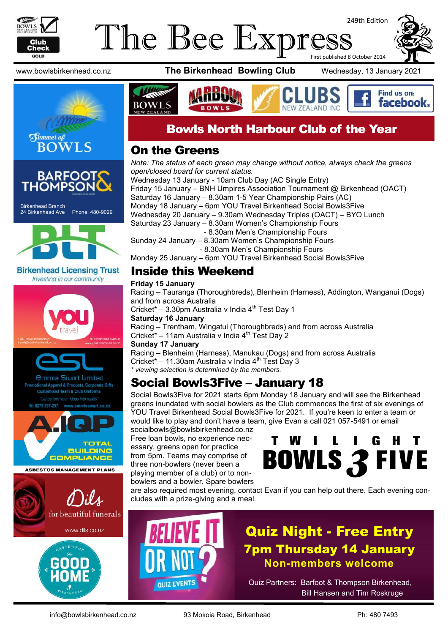

### The Bee Express 249th Edition First published 8 October 2014





Birkenhead Branch 24 Birkenhead Ave Phone: 480-9029



**Birkenhead Licensing Trust** Investing in our community





**ASBESTOS MANAGEMENT PLANS** 





www.bowlsbirkenhead.co.nz **The Birkenhead Bowling Club** Wednesday, 13 January 2021



### Bowls North Harbour Club of the Year

### On the Greens

*Note: The status of each green may change without notice, always check the greens open/closed board for current status.* Wednesday 13 January - 10am Club Day (AC Single Entry)

Friday 15 January – BNH Umpires Association Tournament @ Birkenhead (OACT) Saturday 16 January – 8.30am 1-5 Year Championship Pairs (AC) Monday 18 January – 6pm YOU Travel Birkenhead Social Bowls3Five Wednesday 20 January – 9.30am Wednesday Triples (OACT) – BYO Lunch Saturday 23 January – 8.30am Women's Championship Fours - 8.30am Men's Championship Fours

Sunday 24 January – 8.30am Women's Championship Fours - 8.30am Men's Championship Fours

Monday 25 January – 6pm YOU Travel Birkenhead Social Bowls3Five

### Inside this Weekend

#### **Friday 15 January**

Racing – Tauranga (Thoroughbreds), Blenheim (Harness), Addington, Wanganui (Dogs) and from across Australia Cricket\* – 3.30pm Australia v India  $4<sup>th</sup>$  Test Day 1 **Saturday 16 January** Racing – Trentham, Wingatui (Thoroughbreds) and from across Australia Cricket\* – 11am Australia v India  $4^{\text{th}}$  Test Day 2 **Sunday 17 January** Racing – Blenheim (Harness), Manukau (Dogs) and from across Australia Cricket\* – 11.30am Australia v India  $4<sup>th</sup>$  Test Day 3 *\* viewing selection is determined by the members.*

### Social Bowls3Five – January 18

Social Bowls3Five for 2021 starts 6pm Monday 18 January and will see the Birkenhead greens inundated with social bowlers as the Club commences the first of six evenings of YOU Travel Birkenhead Social Bowls3Five for 2021. If you're keen to enter a team or would like to play and don't have a team, give Evan a call 021 057-5491 or email

socialbowls@bowlsbirkenhead.co.nz Free loan bowls, no experience necessary, greens open for practice from 5pm. Teams may comprise of three non-bowlers (never been a playing member of a club) or to nonbowlers and a bowler. Spare bowlers



are also required most evening, contact Evan if you can help out there. Each evening concludes with a prize-giving and a meal.



## Quiz Night - Free Entry 7pm Thursday 14 January **Non-members welcome**

Quiz Partners: Barfoot & Thompson Birkenhead, Bill Hansen and Tim Roskruge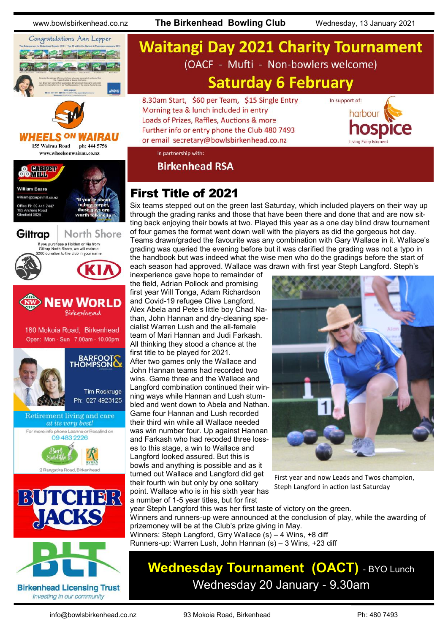



**Birkenhead Licensing Trust** Investing in our community

www.bowlsbirkenhead.co.nz **The Birkenhead Bowling Club** Wednesday, 13 January 2021

# **Waitangi Day 2021 Charity Tournament** (OACF - Mufti - Non-bowlers welcome) **Saturday 6 February**

8.30am Start, \$60 per Team, \$15 Single Entry Morning tea & lunch included in entry Loads of Prizes, Raffles, Auctions & more Further info or entry phone the Club 480 7493 or email secretary@bowlsbirkenhead.co.nz



In partnership with:

**Birkenhead RSA** 

### First Title of 2021

Six teams stepped out on the green last Saturday, which included players on their way up through the grading ranks and those that have been there and done that and are now sitting back enjoying their bowls at two. Played this year as a one day blind draw tournament of four games the format went down well with the players as did the gorgeous hot day. Teams drawn/graded the favourite was any combination with Gary Wallace in it. Wallace's grading was queried the evening before but it was clarified the grading was not a typo in the handbook but was indeed what the wise men who do the gradings before the start of each season had approved. Wallace was drawn with first year Steph Langford. Steph's

inexperience gave hope to remainder of the field, Adrian Pollock and promising first year Will Tonga, Adam Richardson and Covid-19 refugee Clive Langford, Alex Abela and Pete's little boy Chad Nathan, John Hannan and dry-cleaning specialist Warren Lush and the all-female team of Mari Hannan and Judi Farkash. All thinking they stood a chance at the first title to be played for 2021. After two games only the Wallace and John Hannan teams had recorded two wins. Game three and the Wallace and Langford combination continued their winning ways while Hannan and Lush stumbled and went down to Abela and Nathan. Game four Hannan and Lush recorded their third win while all Wallace needed was win number four. Up against Hannan and Farkash who had recoded three losses to this stage, a win to Wallace and Langford looked assured. But this is bowls and anything is possible and as it turned out Wallace and Langford did get their fourth win but only by one solitary point. Wallace who is in his sixth year has a number of 1-5 year titles, but for first



First year and now Leads and Twos champion, Steph Langford in action last Saturday

year Steph Langford this was her first taste of victory on the green. Winners and runners-up were announced at the conclusion of play, while the awarding of prizemoney will be at the Club's prize giving in May. Winners: Steph Langford, Grry Wallace (s) – 4 Wins, +8 diff Runners-up: Warren Lush, John Hannan (s) – 3 Wins, +23 diff

# **Wednesday Tournament (OACT)** - BYO Lunch Wednesday 20 January - 9.30am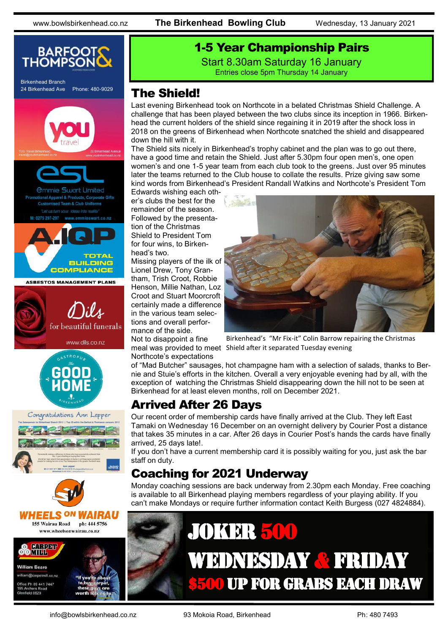

## 1-5 Year Championship Pairs

Start 8.30am Saturday 16 January Entries close 5pm Thursday 14 January

### The Shield!

Last evening Birkenhead took on Northcote in a belated Christmas Shield Challenge. A challenge that has been played between the two clubs since its inception in 1966. Birkenhead the current holders of the shield since regaining it in 2019 after the shock loss in 2018 on the greens of Birkenhead when Northcote snatched the shield and disappeared down the hill with it.

The Shield sits nicely in Birkenhead's trophy cabinet and the plan was to go out there, have a good time and retain the Shield. Just after 5.30pm four open men's, one open women's and one 1-5 year team from each club took to the greens. Just over 95 minutes later the teams returned to the Club house to collate the results. Prize giving saw some kind words from Birkenhead's President Randall Watkins and Northcote's President Tom

Edwards wishing each other's clubs the best for the remainder of the season. Followed by the presentation of the Christmas Shield to President Tom for four wins, to Birkenhead's two.

Missing players of the ilk of Lionel Drew, Tony Grantham, Trish Croot, Robbie Henson, Millie Nathan, Loz Croot and Stuart Moorcroft certainly made a difference in the various team selections and overall performance of the side.

Not to disappoint a fine Northcote's expectations



meal was provided to meet Shield after it separated Tuesday eveningBirkenhead's "Mr Fix-it" Colin Barrow repairing the Christmas

of "Mad Butcher" sausages, hot champagne ham with a selection of salads, thanks to Bernie and Stuie's efforts in the kitchen. Overall a very enjoyable evening had by all, with the exception of watching the Christmas Shield disappearing down the hill not to be seen at Birkenhead for at least eleven months, roll on December 2021.

### Arrived After 26 Days

Our recent order of membership cards have finally arrived at the Club. They left East Tamaki on Wednesday 16 December on an overnight delivery by Courier Post a distance that takes 35 minutes in a car. After 26 days in Courier Post's hands the cards have finally arrived, 25 days late!.

If you don't have a current membership card it is possibly waiting for you, just ask the bar staff on duty.

### Coaching for 2021 Underway

Monday coaching sessions are back underway from 2.30pm each Monday. Free coaching is available to all Birkenhead playing members regardless of your playing ability. If you can't make Mondays or require further information contact Keith Burgess (027 4824884).

# JOKER 500 WEDNESDAY & FRIDAY **\$500 UP FOR GRABS EACH DRAW**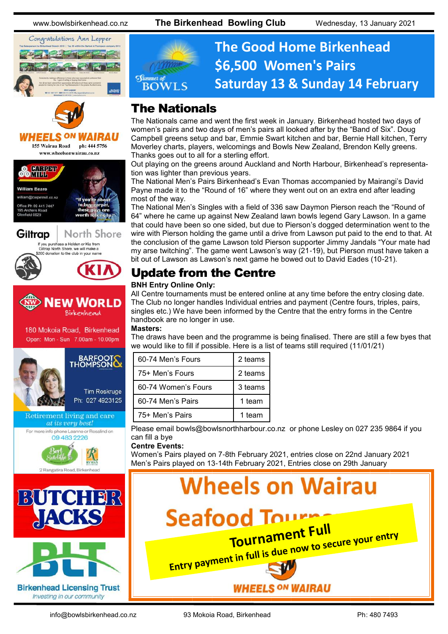www.bowlsbirkenhead.co.nz **The Birkenhead Bowling Club** Wednesday, 13 January 2021





HEELS 155 Wairau Road ph: 444 5756 www.wheelsonwairau.co.nz

















**Birkenhead Licensing Trust** Investing in our community



# **The Good Home Birkenhead \$6,500 Women's Pairs Saturday 13 & Sunday 14 February**

### The Nationals

The Nationals came and went the first week in January. Birkenhead hosted two days of women's pairs and two days of men's pairs all looked after by the "Band of Six". Doug Campbell greens setup and bar, Emmie Swart kitchen and bar, Bernie Hall kitchen, Terry Moverley charts, players, welcomings and Bowls New Zealand, Brendon Kelly greens. Thanks goes out to all for a sterling effort.

Out playing on the greens around Auckland and North Harbour, Birkenhead's representation was lighter than previous years.

The National Men's Pairs Birkenhead's Evan Thomas accompanied by Mairangi's David Payne made it to the "Round of 16" where they went out on an extra end after leading most of the way.

The National Men's Singles with a field of 336 saw Daymon Pierson reach the "Round of 64" where he came up against New Zealand lawn bowls legend Gary Lawson. In a game that could have been so one sided, but due to Pierson's dogged determination went to the wire with Pierson holding the game until a drive from Lawson put paid to the end to that. At the conclusion of the game Lawson told Pierson supporter Jimmy Jandals "Your mate had my arse twitching". The game went Lawson's way (21-19), but Pierson must have taken a bit out of Lawson as Lawson's next game he bowed out to David Eades (10-21).

### Update from the Centre

#### **BNH Entry Online Only:**

All Centre tournaments must be entered online at any time before the entry closing date. The Club no longer handles Individual entries and payment (Centre fours, triples, pairs, singles etc.) We have been informed by the Centre that the entry forms in the Centre handbook are no longer in use.

**Masters:**

The draws have been and the programme is being finalised. There are still a few byes that we would like to fill if possible. Here is a list of teams still required (11/01/21)

| 60-74 Men's Fours   | 2 teams |
|---------------------|---------|
| 75+ Men's Fours     | 2 teams |
| 60-74 Women's Fours | 3 teams |
| 60-74 Men's Pairs   | 1 team  |
| 75+ Men's Pairs     | 1 team  |

Please email [bowls@bowlsnorthharbour.co.nz](mailto:bowls@bowlsnorthharbour.co.nz) or phone Lesley on 027 235 9864 if you can fill a bye

**Centre Events:**

Women's Pairs played on 7-8th February 2021, entries close on 22nd January 2021 Men's Pairs played on 13-14th February 2021, Entries close on 29th January

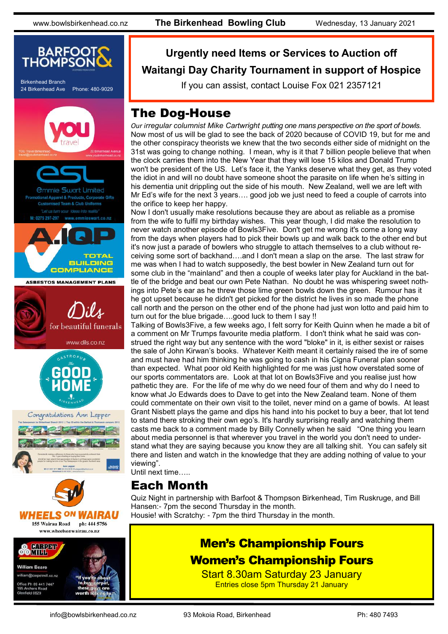

### **Urgently need Items or Services to Auction off Waitangi Day Charity Tournament in support of Hospice**

If you can assist, contact Louise Fox 021 2357121

### The Dog-House

*Our irregular columnist Mike Cartwright putting one mans perspective on the sport of bowls.* Now most of us will be glad to see the back of 2020 because of COVID 19, but for me and the other conspiracy theorists we knew that the two seconds either side of midnight on the 31st was going to change nothing. I mean, why is it that 7 billion people believe that when the clock carries them into the New Year that they will lose 15 kilos and Donald Trump won't be president of the US. Let's face it, the Yanks deserve what they get, as they voted the idiot in and will no doubt have someone shoot the parasite on life when he's sitting in his dementia unit drippling out the side of his mouth. New Zealand, well we are left with Mr Ed's wife for the next 3 years…. good job we just need to feed a couple of carrots into the orifice to keep her happy.

Now I don't usually make resolutions because they are about as reliable as a promise from the wife to fulfil my birthday wishes. This year though, I did make the resolution to never watch another episode of Bowls3Five. Don't get me wrong it's come a long way from the days when players had to pick their bowls up and walk back to the other end but it's now just a parade of bowlers who struggle to attach themselves to a club without receiving some sort of backhand….and I don't mean a slap on the arse. The last straw for me was when I had to watch supposedly, the best bowler in New Zealand turn out for some club in the "mainland" and then a couple of weeks later play for Auckland in the battle of the bridge and beat our own Pete Nathan. No doubt he was whispering sweet nothings into Pete's ear as he threw those lime green bowls down the green. Rumour has it he got upset because he didn't get picked for the district he lives in so made the phone call north and the person on the other end of the phone had just won lotto and paid him to turn out for the blue brigade….good luck to them I say !!

Talking of Bowls3Five, a few weeks ago, I felt sorry for Keith Quinn when he made a bit of a comment on Mr Trumps favourite media platform. I don't think what he said was construed the right way but any sentence with the word "bloke" in it, is either sexist or raises the sale of John Kirwan's books. Whatever Keith meant it certainly raised the ire of some and must have had him thinking he was going to cash in his Cigna Funeral plan sooner than expected. What poor old Keith highlighted for me was just how overstated some of our sports commentators are. Look at that lot on Bowls3Five and you realise just how pathetic they are. For the life of me why do we need four of them and why do I need to know what Jo Edwards does to Dave to get into the New Zealand team. None of them could commentate on their own visit to the toilet, never mind on a game of bowls. At least Grant Nisbett plays the game and dips his hand into his pocket to buy a beer, that lot tend to stand there stroking their own ego's. It's hardly surprising really and watching them casts me back to a comment made by Billy Connelly when he said "One thing you learn about media personnel is that wherever you travel in the world you don't need to understand what they are saying because you know they are all talking shit. You can safely sit there and listen and watch in the knowledge that they are adding nothing of value to your viewing".

Until next time…..

### Each Month

Quiz Night in partnership with Barfoot & Thompson Birkenhead, Tim Ruskruge, and Bill Hansen:- 7pm the second Thursday in the month.

Housie! with Scratchy: - 7pm the third Thursday in the month.

### Men's Championship Fours Women's Championship Fours

Start 8.30am Saturday 23 January Entries close 5pm Thursday 21 January